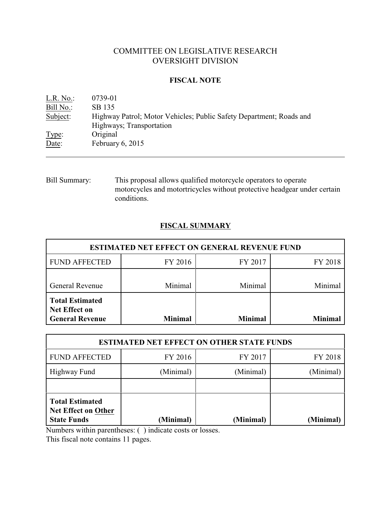# COMMITTEE ON LEGISLATIVE RESEARCH OVERSIGHT DIVISION

## **FISCAL NOTE**

| L.R. No.  | 0739-01                                                             |
|-----------|---------------------------------------------------------------------|
| Bill No.: | SB 135                                                              |
| Subject:  | Highway Patrol; Motor Vehicles; Public Safety Department; Roads and |
|           | Highways; Transportation                                            |
| Type:     | Original                                                            |
| Date:     | February $6, 2015$                                                  |

Bill Summary: This proposal allows qualified motorcycle operators to operate motorcycles and motortricycles without protective headgear under certain conditions.

# **FISCAL SUMMARY**

| <b>ESTIMATED NET EFFECT ON GENERAL REVENUE FUND</b>                      |                |                |         |  |
|--------------------------------------------------------------------------|----------------|----------------|---------|--|
| <b>FUND AFFECTED</b>                                                     | FY 2016        | FY 2017        | FY 2018 |  |
| <b>General Revenue</b>                                                   | Minimal        | Minimal        | Minimal |  |
| <b>Total Estimated</b><br><b>Net Effect on</b><br><b>General Revenue</b> | <b>Minimal</b> | <b>Minimal</b> | Minimal |  |

| <b>ESTIMATED NET EFFECT ON OTHER STATE FUNDS</b>                           |           |           |           |  |
|----------------------------------------------------------------------------|-----------|-----------|-----------|--|
| <b>FUND AFFECTED</b>                                                       | FY 2016   | FY 2017   | FY 2018   |  |
| Highway Fund                                                               | (Minimal) | (Minimal) | (Minimal) |  |
|                                                                            |           |           |           |  |
| <b>Total Estimated</b><br><b>Net Effect on Other</b><br><b>State Funds</b> | (Minimal) | (Minimal) | (Minimal) |  |

Numbers within parentheses: ( ) indicate costs or losses.

This fiscal note contains 11 pages.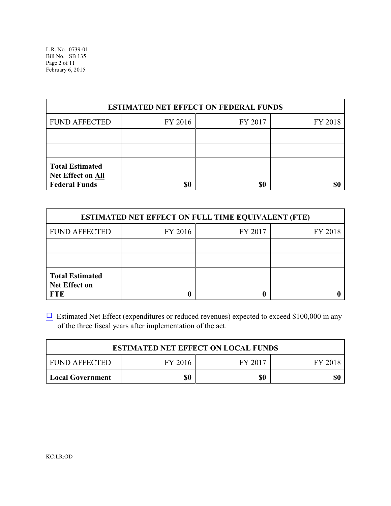| <b>ESTIMATED NET EFFECT ON FEDERAL FUNDS</b>                               |         |         |         |  |  |
|----------------------------------------------------------------------------|---------|---------|---------|--|--|
| <b>FUND AFFECTED</b>                                                       | FY 2016 | FY 2017 | FY 2018 |  |  |
|                                                                            |         |         |         |  |  |
|                                                                            |         |         |         |  |  |
| <b>Total Estimated</b><br><b>Net Effect on All</b><br><b>Federal Funds</b> | \$0     | \$0     |         |  |  |

| <b>ESTIMATED NET EFFECT ON FULL TIME EQUIVALENT (FTE)</b>    |         |         |         |  |
|--------------------------------------------------------------|---------|---------|---------|--|
| <b>FUND AFFECTED</b>                                         | FY 2016 | FY 2017 | FY 2018 |  |
|                                                              |         |         |         |  |
|                                                              |         |         |         |  |
| <b>Total Estimated</b><br><b>Net Effect on</b><br><b>FTE</b> |         |         |         |  |

 $\Box$  Estimated Net Effect (expenditures or reduced revenues) expected to exceed \$100,000 in any of the three fiscal years after implementation of the act.

| <b>ESTIMATED NET EFFECT ON LOCAL FUNDS</b> |         |         |         |  |
|--------------------------------------------|---------|---------|---------|--|
| FUND AFFECTED                              | FY 2016 | FY 2017 | FY 2018 |  |
| <b>Local Government</b>                    | \$0     | \$0     | \$0     |  |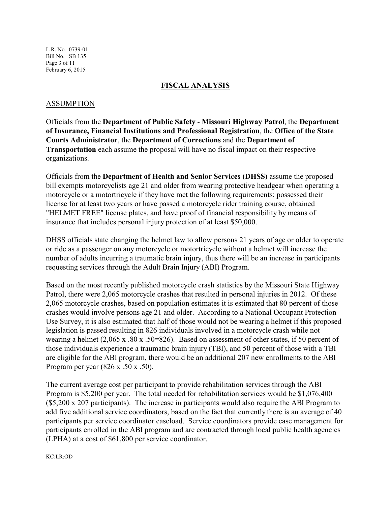L.R. No. 0739-01 Bill No. SB 135 Page 3 of 11 February 6, 2015

### **FISCAL ANALYSIS**

### ASSUMPTION

Officials from the **Department of Public Safety** - **Missouri Highway Patrol**, the **Department of Insurance, Financial Institutions and Professional Registration**, the **Office of the State Courts Administrator**, the **Department of Corrections** and the **Department of Transportation** each assume the proposal will have no fiscal impact on their respective organizations.

Officials from the **Department of Health and Senior Services (DHSS)** assume the proposed bill exempts motorcyclists age 21 and older from wearing protective headgear when operating a motorcycle or a motortricycle if they have met the following requirements: possessed their license for at least two years or have passed a motorcycle rider training course, obtained "HELMET FREE" license plates, and have proof of financial responsibility by means of insurance that includes personal injury protection of at least \$50,000.

DHSS officials state changing the helmet law to allow persons 21 years of age or older to operate or ride as a passenger on any motorcycle or motortricycle without a helmet will increase the number of adults incurring a traumatic brain injury, thus there will be an increase in participants requesting services through the Adult Brain Injury (ABI) Program.

Based on the most recently published motorcycle crash statistics by the Missouri State Highway Patrol, there were 2,065 motorcycle crashes that resulted in personal injuries in 2012. Of these 2,065 motorcycle crashes, based on population estimates it is estimated that 80 percent of those crashes would involve persons age 21 and older. According to a National Occupant Protection Use Survey, it is also estimated that half of those would not be wearing a helmet if this proposed legislation is passed resulting in 826 individuals involved in a motorcycle crash while not wearing a helmet (2,065 x .80 x .50=826). Based on assessment of other states, if 50 percent of those individuals experience a traumatic brain injury (TBI), and 50 percent of those with a TBI are eligible for the ABI program, there would be an additional 207 new enrollments to the ABI Program per year (826 x .50 x .50).

The current average cost per participant to provide rehabilitation services through the ABI Program is \$5,200 per year. The total needed for rehabilitation services would be \$1,076,400 (\$5,200 x 207 participants). The increase in participants would also require the ABI Program to add five additional service coordinators, based on the fact that currently there is an average of 40 participants per service coordinator caseload. Service coordinators provide case management for participants enrolled in the ABI program and are contracted through local public health agencies (LPHA) at a cost of \$61,800 per service coordinator.

KC:LR:OD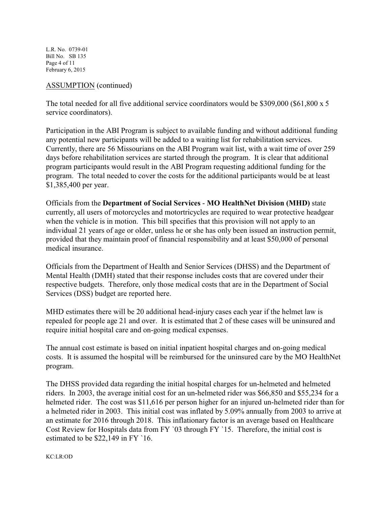L.R. No. 0739-01 Bill No. SB 135 Page 4 of 11 February 6, 2015

### ASSUMPTION (continued)

The total needed for all five additional service coordinators would be \$309,000 (\$61,800 x 5 service coordinators).

Participation in the ABI Program is subject to available funding and without additional funding any potential new participants will be added to a waiting list for rehabilitation services. Currently, there are 56 Missourians on the ABI Program wait list, with a wait time of over 259 days before rehabilitation services are started through the program. It is clear that additional program participants would result in the ABI Program requesting additional funding for the program. The total needed to cover the costs for the additional participants would be at least \$1,385,400 per year.

Officials from the **Department of Social Services** - **MO HealthNet Division (MHD)** state currently, all users of motorcycles and motortricycles are required to wear protective headgear when the vehicle is in motion. This bill specifies that this provision will not apply to an individual 21 years of age or older, unless he or she has only been issued an instruction permit, provided that they maintain proof of financial responsibility and at least \$50,000 of personal medical insurance.

Officials from the Department of Health and Senior Services (DHSS) and the Department of Mental Health (DMH) stated that their response includes costs that are covered under their respective budgets. Therefore, only those medical costs that are in the Department of Social Services (DSS) budget are reported here.

MHD estimates there will be 20 additional head-injury cases each year if the helmet law is repealed for people age 21 and over. It is estimated that 2 of these cases will be uninsured and require initial hospital care and on-going medical expenses.

The annual cost estimate is based on initial inpatient hospital charges and on-going medical costs. It is assumed the hospital will be reimbursed for the uninsured care by the MO HealthNet program.

The DHSS provided data regarding the initial hospital charges for un-helmeted and helmeted riders. In 2003, the average initial cost for an un-helmeted rider was \$66,850 and \$55,234 for a helmeted rider. The cost was \$11,616 per person higher for an injured un-helmeted rider than for a helmeted rider in 2003. This initial cost was inflated by 5.09% annually from 2003 to arrive at an estimate for 2016 through 2018. This inflationary factor is an average based on Healthcare Cost Review for Hospitals data from FY `03 through FY `15. Therefore, the initial cost is estimated to be \$22,149 in FY `16.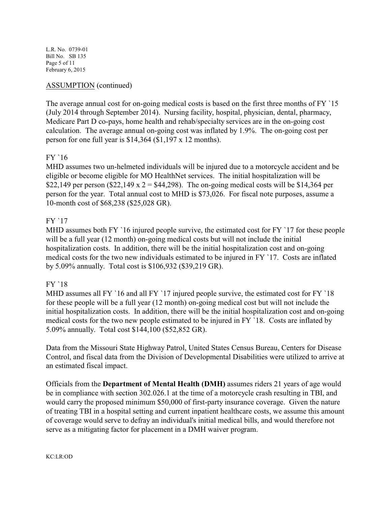L.R. No. 0739-01 Bill No. SB 135 Page 5 of 11 February 6, 2015

## ASSUMPTION (continued)

The average annual cost for on-going medical costs is based on the first three months of FY '15 (July 2014 through September 2014). Nursing facility, hospital, physician, dental, pharmacy, Medicare Part D co-pays, home health and rehab/specialty services are in the on-going cost calculation. The average annual on-going cost was inflated by 1.9%. The on-going cost per person for one full year is \$14,364 (\$1,197 x 12 months).

## FY `16

MHD assumes two un-helmeted individuals will be injured due to a motorcycle accident and be eligible or become eligible for MO HealthNet services. The initial hospitalization will be \$22,149 per person (\$22,149 x 2 = \$44,298). The on-going medical costs will be \$14,364 per person for the year. Total annual cost to MHD is \$73,026. For fiscal note purposes, assume a 10-month cost of \$68,238 (\$25,028 GR).

## FY `17

MHD assumes both FY '16 injured people survive, the estimated cost for FY '17 for these people will be a full year (12 month) on-going medical costs but will not include the initial hospitalization costs. In addition, there will be the initial hospitalization cost and on-going medical costs for the two new individuals estimated to be injured in FY `17. Costs are inflated by 5.09% annually. Total cost is \$106,932 (\$39,219 GR).

## FY `18

MHD assumes all FY '16 and all FY '17 injured people survive, the estimated cost for FY '18 for these people will be a full year (12 month) on-going medical cost but will not include the initial hospitalization costs. In addition, there will be the initial hospitalization cost and on-going medical costs for the two new people estimated to be injured in FY `18. Costs are inflated by 5.09% annually. Total cost \$144,100 (\$52,852 GR).

Data from the Missouri State Highway Patrol, United States Census Bureau, Centers for Disease Control, and fiscal data from the Division of Developmental Disabilities were utilized to arrive at an estimated fiscal impact.

Officials from the **Department of Mental Health (DMH)** assumes riders 21 years of age would be in compliance with section 302.026.1 at the time of a motorcycle crash resulting in TBI, and would carry the proposed minimum \$50,000 of first-party insurance coverage. Given the nature of treating TBI in a hospital setting and current inpatient healthcare costs, we assume this amount of coverage would serve to defray an individual's initial medical bills, and would therefore not serve as a mitigating factor for placement in a DMH waiver program.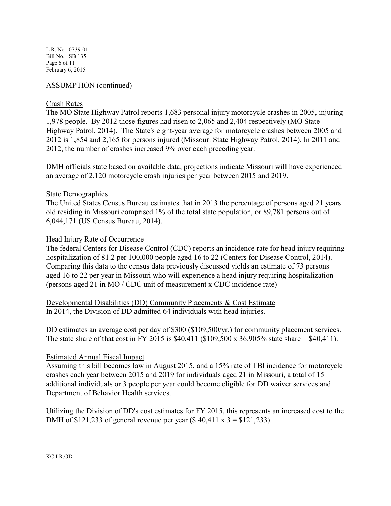L.R. No. 0739-01 Bill No. SB 135 Page 6 of 11 February 6, 2015

## ASSUMPTION (continued)

### Crash Rates

The MO State Highway Patrol reports 1,683 personal injury motorcycle crashes in 2005, injuring 1,978 people. By 2012 those figures had risen to 2,065 and 2,404 respectively (MO State Highway Patrol, 2014). The State's eight-year average for motorcycle crashes between 2005 and 2012 is 1,854 and 2,165 for persons injured (Missouri State Highway Patrol, 2014). In 2011 and 2012, the number of crashes increased 9% over each preceding year.

DMH officials state based on available data, projections indicate Missouri will have experienced an average of 2,120 motorcycle crash injuries per year between 2015 and 2019.

### State Demographics

The United States Census Bureau estimates that in 2013 the percentage of persons aged 21 years old residing in Missouri comprised 1% of the total state population, or 89,781 persons out of 6,044,171 (US Census Bureau, 2014).

### Head Injury Rate of Occurrence

The federal Centers for Disease Control (CDC) reports an incidence rate for head injury requiring hospitalization of 81.2 per 100,000 people aged 16 to 22 (Centers for Disease Control, 2014). Comparing this data to the census data previously discussed yields an estimate of 73 persons aged 16 to 22 per year in Missouri who will experience a head injury requiring hospitalization (persons aged 21 in MO / CDC unit of measurement x CDC incidence rate)

Developmental Disabilities (DD) Community Placements & Cost Estimate In 2014, the Division of DD admitted 64 individuals with head injuries.

DD estimates an average cost per day of \$300 (\$109,500/yr.) for community placement services. The state share of that cost in FY 2015 is \$40,411 (\$109,500 x 36.905% state share = \$40,411).

### Estimated Annual Fiscal Impact

Assuming this bill becomes law in August 2015, and a 15% rate of TBI incidence for motorcycle crashes each year between 2015 and 2019 for individuals aged 21 in Missouri, a total of 15 additional individuals or 3 people per year could become eligible for DD waiver services and Department of Behavior Health services.

Utilizing the Division of DD's cost estimates for FY 2015, this represents an increased cost to the DMH of \$121,233 of general revenue per year (\$40,411 x  $3 = $121,233$ ).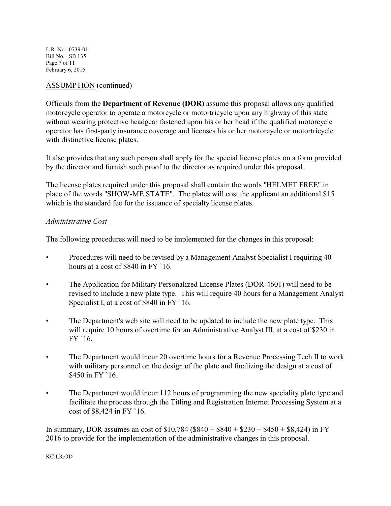L.R. No. 0739-01 Bill No. SB 135 Page 7 of 11 February 6, 2015

## ASSUMPTION (continued)

Officials from the **Department of Revenue (DOR)** assume this proposal allows any qualified motorcycle operator to operate a motorcycle or motortricycle upon any highway of this state without wearing protective headgear fastened upon his or her head if the qualified motorcycle operator has first-party insurance coverage and licenses his or her motorcycle or motortricycle with distinctive license plates.

It also provides that any such person shall apply for the special license plates on a form provided by the director and furnish such proof to the director as required under this proposal.

The license plates required under this proposal shall contain the words "HELMET FREE" in place of the words "SHOW-ME STATE". The plates will cost the applicant an additional \$15 which is the standard fee for the issuance of specialty license plates.

## *Administrative Cost*

The following procedures will need to be implemented for the changes in this proposal:

- Procedures will need to be revised by a Management Analyst Specialist I requiring 40 hours at a cost of \$840 in FY `16.
- The Application for Military Personalized License Plates (DOR-4601) will need to be revised to include a new plate type. This will require 40 hours for a Management Analyst Specialist I, at a cost of \$840 in FY `16.
- The Department's web site will need to be updated to include the new plate type. This will require 10 hours of overtime for an Administrative Analyst III, at a cost of \$230 in FY `16.
- The Department would incur 20 overtime hours for a Revenue Processing Tech II to work with military personnel on the design of the plate and finalizing the design at a cost of \$450 in FY `16.
- The Department would incur 112 hours of programming the new speciality plate type and facilitate the process through the Titling and Registration Internet Processing System at a cost of \$8,424 in FY `16.

In summary, DOR assumes an cost of  $$10,784$  ( $$840 + $840 + $230 + $450 + $8,424$ ) in FY 2016 to provide for the implementation of the administrative changes in this proposal.

KC:LR:OD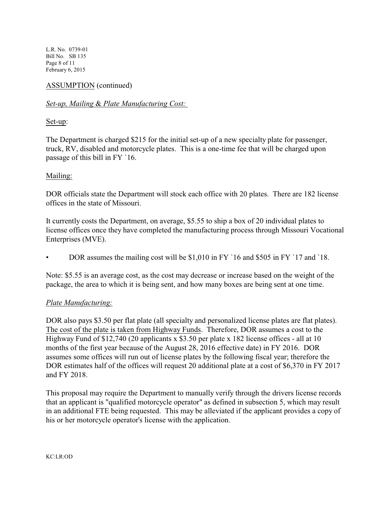L.R. No. 0739-01 Bill No. SB 135 Page 8 of 11 February 6, 2015

## ASSUMPTION (continued)

## *Set-up, Mailing* & *Plate Manufacturing Cost:*

## Set-up:

The Department is charged \$215 for the initial set-up of a new specialty plate for passenger, truck, RV, disabled and motorcycle plates. This is a one-time fee that will be charged upon passage of this bill in FY `16.

## Mailing:

DOR officials state the Department will stock each office with 20 plates. There are 182 license offices in the state of Missouri.

It currently costs the Department, on average, \$5.55 to ship a box of 20 individual plates to license offices once they have completed the manufacturing process through Missouri Vocational Enterprises (MVE).

• DOR assumes the mailing cost will be \$1,010 in FY `16 and \$505 in FY `17 and `18.

Note: \$5.55 is an average cost, as the cost may decrease or increase based on the weight of the package, the area to which it is being sent, and how many boxes are being sent at one time.

### *Plate Manufacturing:*

DOR also pays \$3.50 per flat plate (all specialty and personalized license plates are flat plates). The cost of the plate is taken from Highway Funds. Therefore, DOR assumes a cost to the Highway Fund of \$12,740 (20 applicants x \$3.50 per plate x 182 license offices - all at 10 months of the first year because of the August 28, 2016 effective date) in FY 2016. DOR assumes some offices will run out of license plates by the following fiscal year; therefore the DOR estimates half of the offices will request 20 additional plate at a cost of \$6,370 in FY 2017 and FY 2018.

This proposal may require the Department to manually verify through the drivers license records that an applicant is "qualified motorcycle operator" as defined in subsection 5, which may result in an additional FTE being requested. This may be alleviated if the applicant provides a copy of his or her motorcycle operator's license with the application.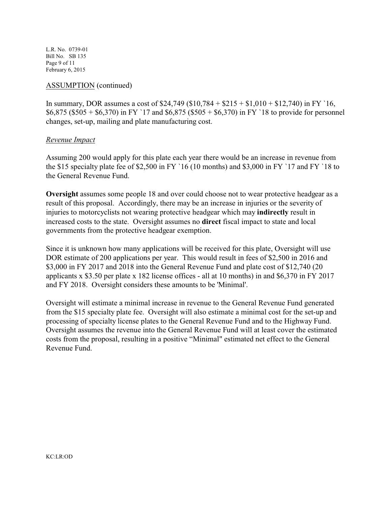L.R. No. 0739-01 Bill No. SB 135 Page 9 of 11 February 6, 2015

### ASSUMPTION (continued)

In summary, DOR assumes a cost of  $$24,749$  ( $$10,784 + $215 + $1,010 + $12,740$ ) in FY 16,  $$6,875$  (\$505 + \$6,370) in FY '17 and \$6,875 (\$505 + \$6,370) in FY '18 to provide for personnel changes, set-up, mailing and plate manufacturing cost.

### *Revenue Impact*

Assuming 200 would apply for this plate each year there would be an increase in revenue from the \$15 specialty plate fee of \$2,500 in FY `16 (10 months) and \$3,000 in FY `17 and FY `18 to the General Revenue Fund.

**Oversight** assumes some people 18 and over could choose not to wear protective headgear as a result of this proposal. Accordingly, there may be an increase in injuries or the severity of injuries to motorcyclists not wearing protective headgear which may **indirectly** result in increased costs to the state. Oversight assumes no **direct** fiscal impact to state and local governments from the protective headgear exemption.

Since it is unknown how many applications will be received for this plate, Oversight will use DOR estimate of 200 applications per year. This would result in fees of \$2,500 in 2016 and \$3,000 in FY 2017 and 2018 into the General Revenue Fund and plate cost of \$12,740 (20 applicants x \$3.50 per plate x 182 license offices - all at 10 months) in and \$6,370 in FY 2017 and FY 2018. Oversight considers these amounts to be 'Minimal'.

Oversight will estimate a minimal increase in revenue to the General Revenue Fund generated from the \$15 specialty plate fee. Oversight will also estimate a minimal cost for the set-up and processing of specialty license plates to the General Revenue Fund and to the Highway Fund. Oversight assumes the revenue into the General Revenue Fund will at least cover the estimated costs from the proposal, resulting in a positive "Minimal" estimated net effect to the General Revenue Fund.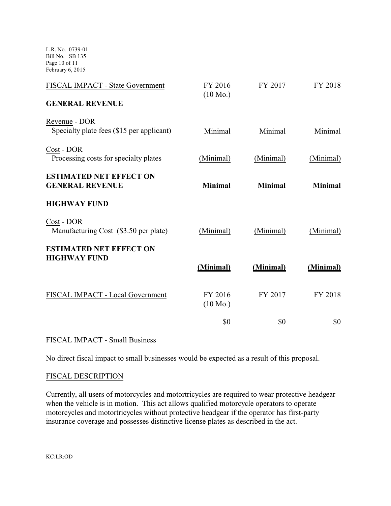L.R. No. 0739-01 Bill No. SB 135 Page 10 of 11 February 6, 2015

| FISCAL IMPACT - State Government                           | FY 2016<br>$(10 \text{ Mo.})$ | FY 2017        | FY 2018        |
|------------------------------------------------------------|-------------------------------|----------------|----------------|
| <b>GENERAL REVENUE</b>                                     |                               |                |                |
| Revenue - DOR<br>Specialty plate fees (\$15 per applicant) | Minimal                       | Minimal        | Minimal        |
| Cost - DOR<br>Processing costs for specialty plates        | (Minimal)                     | (Minimal)      | (Minimal)      |
| <b>ESTIMATED NET EFFECT ON</b><br><b>GENERAL REVENUE</b>   | <b>Minimal</b>                | <b>Minimal</b> | <b>Minimal</b> |
| <b>HIGHWAY FUND</b>                                        |                               |                |                |
| Cost - DOR<br>Manufacturing Cost (\$3.50 per plate)        | (Minimal)                     | (Minimal)      | (Minimal)      |
| <b>ESTIMATED NET EFFECT ON</b><br><b>HIGHWAY FUND</b>      | (Minimal)                     | (Minimal)      | (Minimal)      |
|                                                            |                               |                |                |
| FISCAL IMPACT - Local Government                           | FY 2016<br>$(10 \text{ Mo.})$ | FY 2017        | FY 2018        |
|                                                            | \$0                           | \$0            | \$0            |

# FISCAL IMPACT - Small Business

No direct fiscal impact to small businesses would be expected as a result of this proposal.

## FISCAL DESCRIPTION

Currently, all users of motorcycles and motortricycles are required to wear protective headgear when the vehicle is in motion. This act allows qualified motorcycle operators to operate motorcycles and motortricycles without protective headgear if the operator has first-party insurance coverage and possesses distinctive license plates as described in the act.